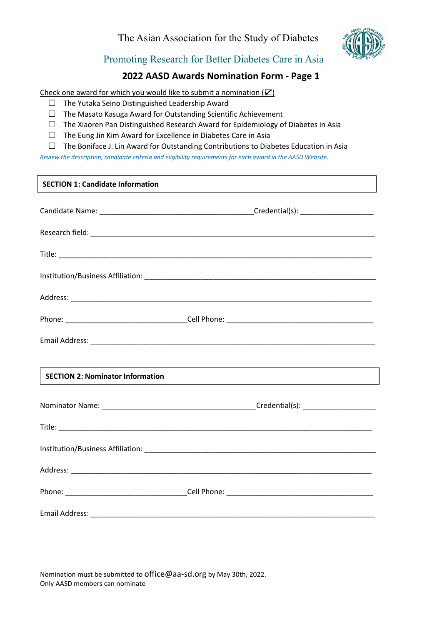

Promoting Research for Better Diabetes Care in Asia

## **2022 AASD Awards Nomination Form - Page 1**

Check one award for which you would like to submit a nomination  $(\mathbb{Z})$ 

- ☐ The Yutaka Seino Distinguished Leadership Award
- ☐ The Masato Kasuga Award for Outstanding Scientific Achievement
- ☐ The Xiaoren Pan Distinguished Research Award for Epidemiology of Diabetes in Asia
- ☐ The Eung Jin Kim Award for Excellence in Diabetes Care in Asia
- ☐ The Boniface J. Lin Award for Outstanding Contributions to Diabetes Education in Asia

*Review the description, candidate criteria and eligibility requirements for each award in the AASD Website.*

## **SECTION 1: Candidate Information**

| <b>SECTION 2: Nominator Information</b> |  |
|-----------------------------------------|--|
|                                         |  |
|                                         |  |
|                                         |  |
|                                         |  |
|                                         |  |
|                                         |  |

Nomination must be submitted t[o office@aa-sd.org](mailto:office@aa-sd.org) by May 30th, 2022. Only AASD members can nominate